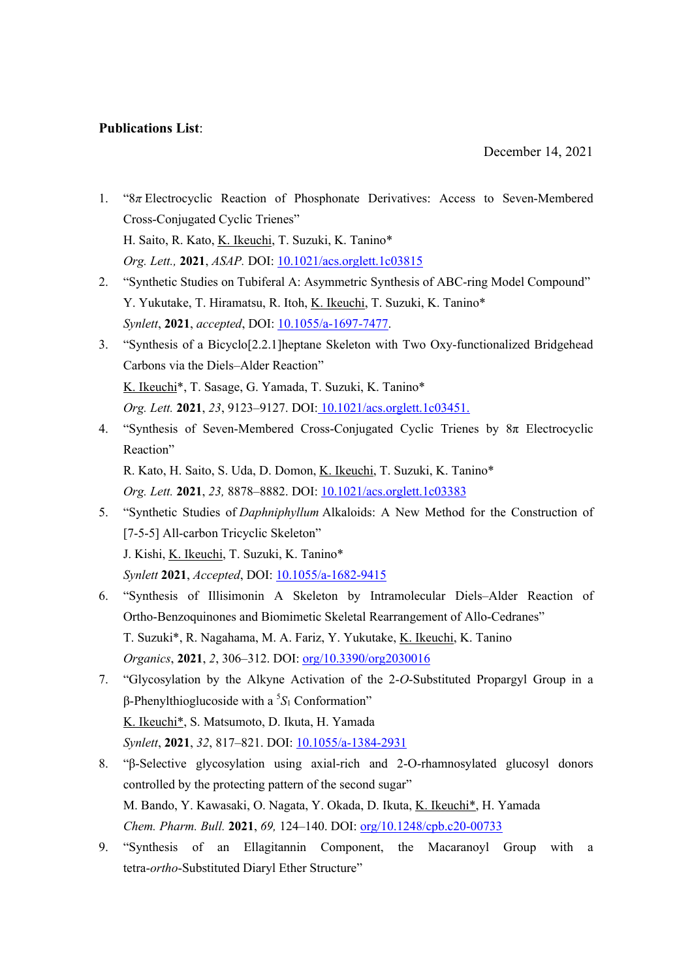## **Publications List**:

- 1. "8*π* Electrocyclic Reaction of Phosphonate Derivatives: Access to Seven-Membered Cross-Conjugated Cyclic Trienes" H. Saito, R. Kato, K. Ikeuchi, T. Suzuki, K. Tanino\* *Org. Lett.,* **2021**, *ASAP.* DOI: 10.1021/acs.orglett.1c03815
- 2. "Synthetic Studies on Tubiferal A: Asymmetric Synthesis of ABC-ring Model Compound" Y. Yukutake, T. Hiramatsu, R. Itoh, K. Ikeuchi, T. Suzuki, K. Tanino\* *Synlett*, **2021**, *accepted*, DOI: 10.1055/a-1697-7477.
- 3. "Synthesis of a Bicyclo[2.2.1]heptane Skeleton with Two Oxy-functionalized Bridgehead Carbons via the Diels–Alder Reaction" K. Ikeuchi\*, T. Sasage, G. Yamada, T. Suzuki, K. Tanino\* *Org. Lett.* **2021**, *23*, 9123–9127. DOI: 10.1021/acs.orglett.1c03451.
- 4. "Synthesis of Seven-Membered Cross-Conjugated Cyclic Trienes by 8π Electrocyclic Reaction"

R. Kato, H. Saito, S. Uda, D. Domon, K. Ikeuchi, T. Suzuki, K. Tanino\* *Org. Lett.* **2021**, *23,* 8878–8882. DOI: 10.1021/acs.orglett.1c03383

- 5. "Synthetic Studies of *Daphniphyllum* Alkaloids: A New Method for the Construction of [7-5-5] All-carbon Tricyclic Skeleton" J. Kishi, K. Ikeuchi, T. Suzuki, K. Tanino\* *Synlett* **2021**, *Accepted*, DOI: 10.1055/a-1682-9415
- 6. "Synthesis of Illisimonin A Skeleton by Intramolecular Diels–Alder Reaction of Ortho-Benzoquinones and Biomimetic Skeletal Rearrangement of Allo-Cedranes" T. Suzuki\*, R. Nagahama, M. A. Fariz, Y. Yukutake, K. Ikeuchi, K. Tanino *Organics*, **2021**, *2*, 306–312. DOI: org/10.3390/org2030016
- 7. "Glycosylation by the Alkyne Activation of the 2-*O*-Substituted Propargyl Group in a β-Phenylthioglucoside with a 5 *S*<sup>1</sup> Conformation" K. Ikeuchi\*, S. Matsumoto, D. Ikuta, H. Yamada *Synlett*, **2021**, *32*, 817–821. DOI: 10.1055/a-1384-2931
- 8. "β-Selective glycosylation using axial-rich and 2-O-rhamnosylated glucosyl donors controlled by the protecting pattern of the second sugar" M. Bando, Y. Kawasaki, O. Nagata, Y. Okada, D. Ikuta, K. Ikeuchi\*, H. Yamada *Chem. Pharm. Bull.* **2021**, *69,* 124–140. DOI: org/10.1248/cpb.c20-00733
- 9. "Synthesis of an Ellagitannin Component, the Macaranoyl Group with a tetra-*ortho*-Substituted Diaryl Ether Structure"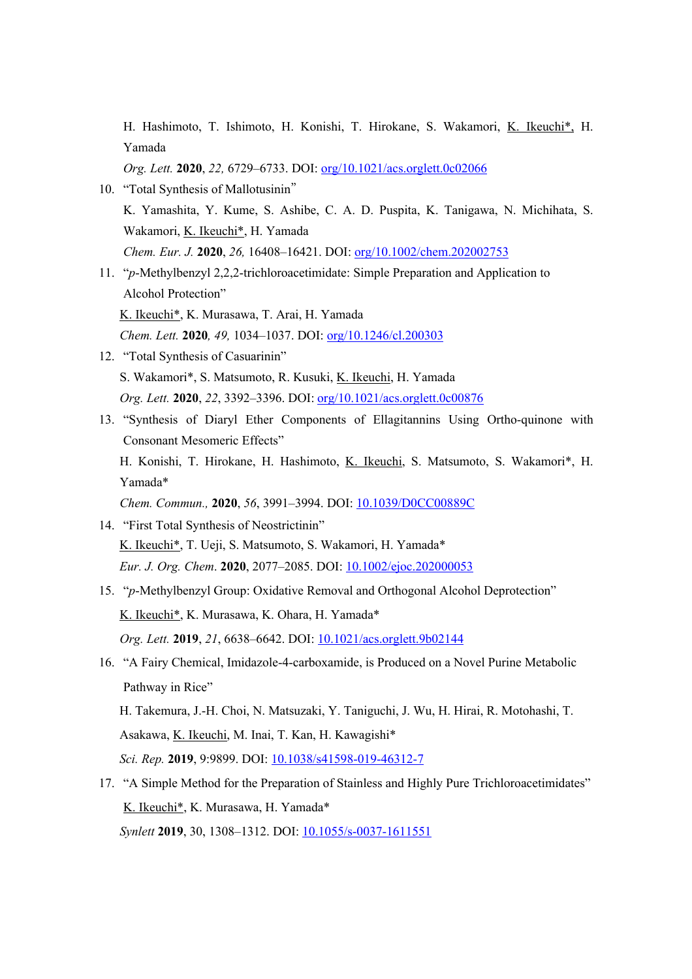H. Hashimoto, T. Ishimoto, H. Konishi, T. Hirokane, S. Wakamori, K. Ikeuchi\*, H. Yamada

*Org. Lett.* **2020**, *22,* 6729–6733. DOI: org/10.1021/acs.orglett.0c02066

- 10. "Total Synthesis of Mallotusinin" K. Yamashita, Y. Kume, S. Ashibe, C. A. D. Puspita, K. Tanigawa, N. Michihata, S. Wakamori, K. Ikeuchi\*, H. Yamada *Chem. Eur. J.* **2020**, *26,* 16408–16421. DOI: org/10.1002/chem.202002753
- 11. "*p*-Methylbenzyl 2,2,2-trichloroacetimidate: Simple Preparation and Application to Alcohol Protection"

K. Ikeuchi\*, K. Murasawa, T. Arai, H. Yamada

*Chem. Lett.* **2020***, 49,* 1034–1037. DOI: org/10.1246/cl.200303

- 12. "Total Synthesis of Casuarinin" S. Wakamori\*, S. Matsumoto, R. Kusuki, K. Ikeuchi, H. Yamada *Org. Lett.* **2020**, *22*, 3392–3396. DOI: org/10.1021/acs.orglett.0c00876
- 13. "Synthesis of Diaryl Ether Components of Ellagitannins Using Ortho-quinone with Consonant Mesomeric Effects" H. Konishi, T. Hirokane, H. Hashimoto, K. Ikeuchi, S. Matsumoto, S. Wakamori\*, H. Yamada\*

*Chem. Commun.,* **2020**, *56*, 3991–3994. DOI: 10.1039/D0CC00889C

- 14. "First Total Synthesis of Neostrictinin" K. Ikeuchi\*, T. Ueji, S. Matsumoto, S. Wakamori, H. Yamada\* *Eur. J. Org. Chem*. **2020**, 2077–2085. DOI: 10.1002/ejoc.202000053
- 15. "*p*-Methylbenzyl Group: Oxidative Removal and Orthogonal Alcohol Deprotection" K. Ikeuchi\*, K. Murasawa, K. Ohara, H. Yamada\* *Org. Lett.* **2019**, *21*, 6638–6642. DOI: 10.1021/acs.orglett.9b02144
- 16. "A Fairy Chemical, Imidazole-4-carboxamide, is Produced on a Novel Purine Metabolic Pathway in Rice"
	- H. Takemura, J.-H. Choi, N. Matsuzaki, Y. Taniguchi, J. Wu, H. Hirai, R. Motohashi, T.

Asakawa, K. Ikeuchi, M. Inai, T. Kan, H. Kawagishi\*

*Sci. Rep.* **2019**, 9:9899. DOI: 10.1038/s41598-019-46312-7

17. "A Simple Method for the Preparation of Stainless and Highly Pure Trichloroacetimidates" K. Ikeuchi\*, K. Murasawa, H. Yamada\* *Synlett* **2019**, 30, 1308–1312. DOI: 10.1055/s-0037-1611551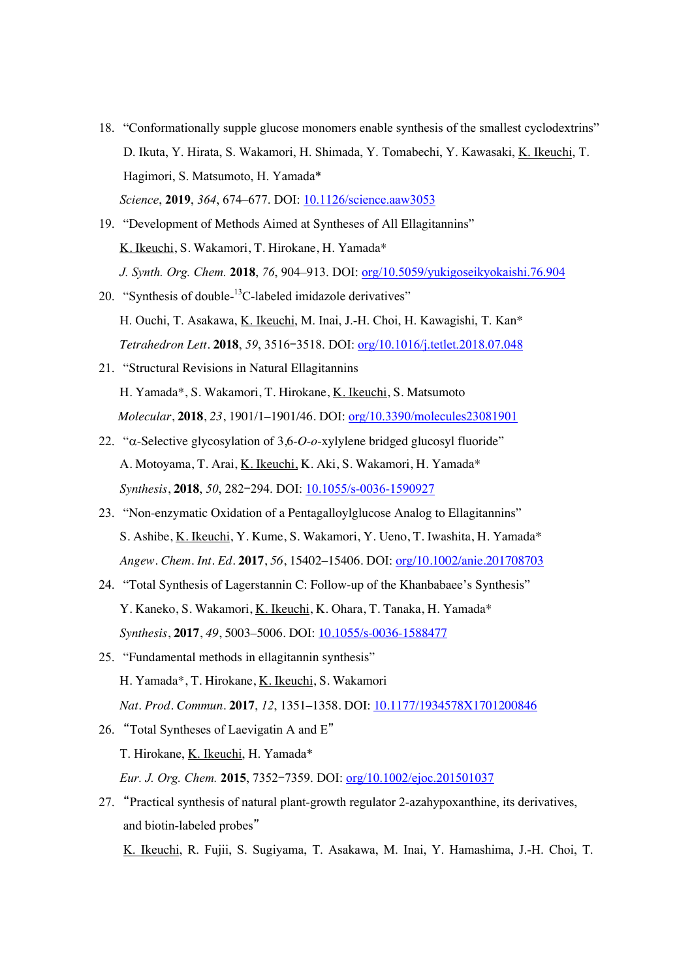- 18. "Conformationally supple glucose monomers enable synthesis of the smallest cyclodextrins" D. Ikuta, Y. Hirata, S. Wakamori, H. Shimada, Y. Tomabechi, Y. Kawasaki, K. Ikeuchi, T. Hagimori, S. Matsumoto, H. Yamada\* *Science*, **2019**, *364*, 674–677. DOI: 10.1126/science.aaw3053
- 19. "Development of Methods Aimed at Syntheses of All Ellagitannins" K. Ikeuchi, S. Wakamori, T. Hirokane, H. Yamada\* *J. Synth. Org. Chem.* **2018**, *76*, 904–913. DOI: org/10.5059/yukigoseikyokaishi.76.904
- 20. "Synthesis of double-<sup>13</sup>C-labeled imidazole derivatives" H. Ouchi, T. Asakawa, K. Ikeuchi, M. Inai, J.-H. Choi, H. Kawagishi, T. Kan\* *Tetrahedron Lett.* **2018**, *59*, 3516–3518. DOI: org/10.1016/j.tetlet.2018.07.048
- 21. "Structural Revisions in Natural Ellagitannins H. Yamada\*, S. Wakamori, T. Hirokane, K. Ikeuchi, S. Matsumoto *Molecular*, **2018**, *23*, 1901/1–1901/46. DOI: org/10.3390/molecules23081901
- 22. "a-Selective glycosylation of 3,6-*O*-*o*-xylylene bridged glucosyl fluoride" A. Motoyama, T. Arai, K. Ikeuchi, K. Aki, S. Wakamori, H. Yamada\* *Synthesis*, **2018**, *50*, 282–294. DOI: 10.1055/s-0036-1590927
- 23. "Non-enzymatic Oxidation of a Pentagalloylglucose Analog to Ellagitannins" S. Ashibe, K. Ikeuchi, Y. Kume, S. Wakamori, Y. Ueno, T. Iwashita, H. Yamada\* *Angew. Chem. Int. Ed.* **2017**, *56*, 15402–15406. DOI: org/10.1002/anie.201708703
- 24. "Total Synthesis of Lagerstannin C: Follow-up of the Khanbabaee's Synthesis" Y. Kaneko, S. Wakamori, K. Ikeuchi, K. Ohara, T. Tanaka, H. Yamada\* *Synthesis*, **2017**, *49*, 5003–5006. DOI: 10.1055/s-0036-1588477
- 25. "Fundamental methods in ellagitannin synthesis" H. Yamada\*, T. Hirokane, K. Ikeuchi, S. Wakamori *Nat. Prod. Commun.* **2017**, *12*, 1351–1358. DOI: 10.1177/1934578X1701200846
- 26. "Total Syntheses of Laevigatin A and E" T. Hirokane, K. Ikeuchi, H. Yamada\* *Eur. J. Org. Chem.* **2015**, 7352–7359. DOI: org/10.1002/ejoc.201501037
- 27. "Practical synthesis of natural plant-growth regulator 2-azahypoxanthine, its derivatives, and biotin-labeled probes"

K. Ikeuchi, R. Fujii, S. Sugiyama, T. Asakawa, M. Inai, Y. Hamashima, J.-H. Choi, T.